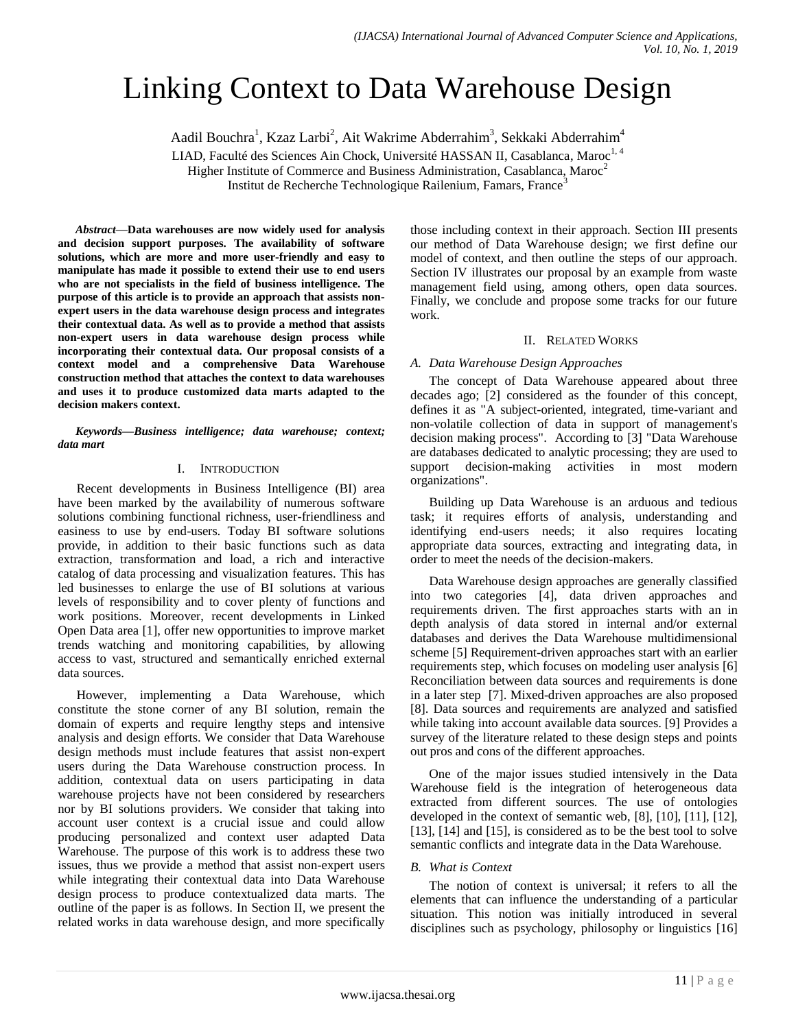# Linking Context to Data Warehouse Design

Aadil Bouchra<sup>1</sup>, Kzaz Larbi<sup>2</sup>, Ait Wakrime Abderrahim<sup>3</sup>, Sekkaki Abderrahim<sup>4</sup>

LIAD, Faculté des Sciences Ain Chock, Université HASSAN II, Casablanca, Maroc<sup>1, 4</sup>

Higher Institute of Commerce and Business Administration, Casablanca, Maroc<sup>2</sup>

Institut de Recherche Technologique Railenium, Famars, France<sup>3</sup>

*Abstract***—Data warehouses are now widely used for analysis and decision support purposes. The availability of software solutions, which are more and more user-friendly and easy to manipulate has made it possible to extend their use to end users who are not specialists in the field of business intelligence. The purpose of this article is to provide an approach that assists nonexpert users in the data warehouse design process and integrates their contextual data. As well as to provide a method that assists non-expert users in data warehouse design process while incorporating their contextual data. Our proposal consists of a context model and a comprehensive Data Warehouse construction method that attaches the context to data warehouses and uses it to produce customized data marts adapted to the decision makers context.**

*Keywords—Business intelligence; data warehouse; context; data mart*

#### I. INTRODUCTION

Recent developments in Business Intelligence (BI) area have been marked by the availability of numerous software solutions combining functional richness, user-friendliness and easiness to use by end-users. Today BI software solutions provide, in addition to their basic functions such as data extraction, transformation and load, a rich and interactive catalog of data processing and visualization features. This has led businesses to enlarge the use of BI solutions at various levels of responsibility and to cover plenty of functions and work positions. Moreover, recent developments in Linked Open Data area [1], offer new opportunities to improve market trends watching and monitoring capabilities, by allowing access to vast, structured and semantically enriched external data sources.

However, implementing a Data Warehouse, which constitute the stone corner of any BI solution, remain the domain of experts and require lengthy steps and intensive analysis and design efforts. We consider that Data Warehouse design methods must include features that assist non-expert users during the Data Warehouse construction process. In addition, contextual data on users participating in data warehouse projects have not been considered by researchers nor by BI solutions providers. We consider that taking into account user context is a crucial issue and could allow producing personalized and context user adapted Data Warehouse. The purpose of this work is to address these two issues, thus we provide a method that assist non-expert users while integrating their contextual data into Data Warehouse design process to produce contextualized data marts. The outline of the paper is as follows. In Section II, we present the related works in data warehouse design, and more specifically those including context in their approach. Section III presents our method of Data Warehouse design; we first define our model of context, and then outline the steps of our approach. Section IV illustrates our proposal by an example from waste management field using, among others, open data sources. Finally, we conclude and propose some tracks for our future work.

#### II. RELATED WORKS

#### *A. Data Warehouse Design Approaches*

The concept of Data Warehouse appeared about three decades ago; [2] considered as the founder of this concept, defines it as "A subject-oriented, integrated, time-variant and non-volatile collection of data in support of management's decision making process". According to [3] "Data Warehouse are databases dedicated to analytic processing; they are used to support decision-making activities in most modern organizations".

Building up Data Warehouse is an arduous and tedious task; it requires efforts of analysis, understanding and identifying end-users needs; it also requires locating appropriate data sources, extracting and integrating data, in order to meet the needs of the decision-makers.

Data Warehouse design approaches are generally classified into two categories [4], data driven approaches and requirements driven. The first approaches starts with an in depth analysis of data stored in internal and/or external databases and derives the Data Warehouse multidimensional scheme [5] Requirement-driven approaches start with an earlier requirements step, which focuses on modeling user analysis [6] Reconciliation between data sources and requirements is done in a later step [7]. Mixed-driven approaches are also proposed [8]. Data sources and requirements are analyzed and satisfied while taking into account available data sources. [9] Provides a survey of the literature related to these design steps and points out pros and cons of the different approaches.

One of the major issues studied intensively in the Data Warehouse field is the integration of heterogeneous data extracted from different sources. The use of ontologies developed in the context of semantic web, [8], [10], [11], [12], [13], [14] and [15], is considered as to be the best tool to solve semantic conflicts and integrate data in the Data Warehouse.

#### *B. What is Context*

The notion of context is universal; it refers to all the elements that can influence the understanding of a particular situation. This notion was initially introduced in several disciplines such as psychology, philosophy or linguistics [16]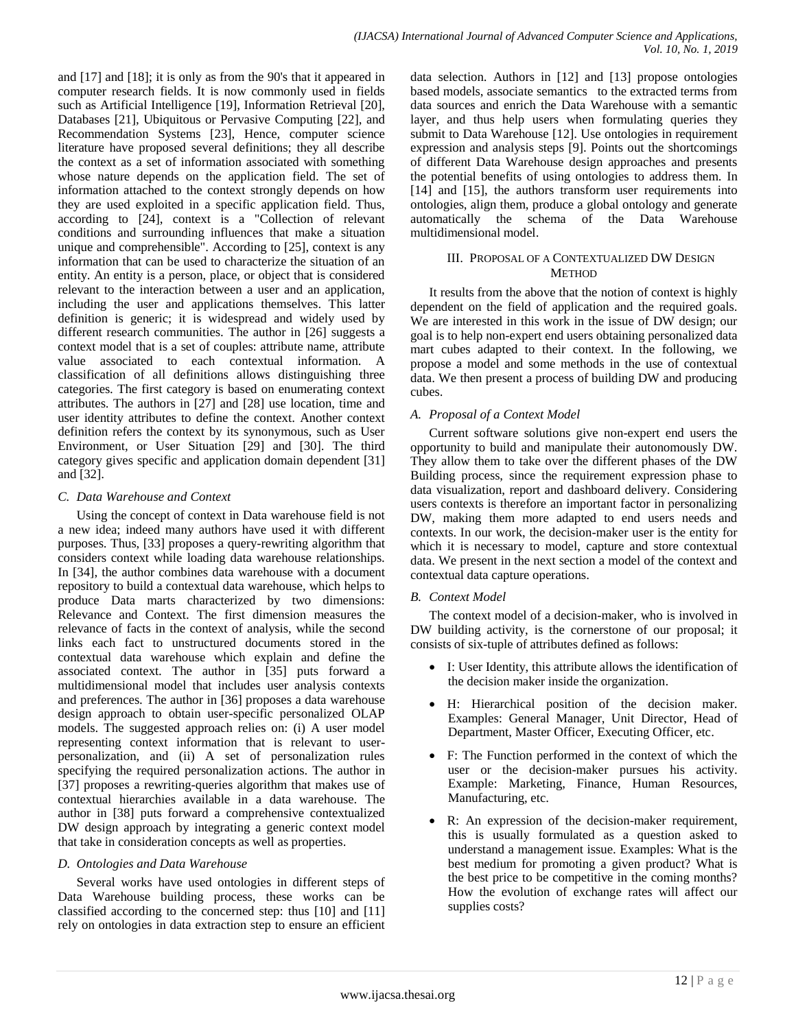and [17] and [18]; it is only as from the 90's that it appeared in computer research fields. It is now commonly used in fields such as Artificial Intelligence [19], Information Retrieval [20], Databases [21], Ubiquitous or Pervasive Computing [22], and Recommendation Systems [23], Hence, computer science literature have proposed several definitions; they all describe the context as a set of information associated with something whose nature depends on the application field. The set of information attached to the context strongly depends on how they are used exploited in a specific application field. Thus, according to [24], context is a "Collection of relevant conditions and surrounding influences that make a situation unique and comprehensible". According to [25], context is any information that can be used to characterize the situation of an entity. An entity is a person, place, or object that is considered relevant to the interaction between a user and an application, including the user and applications themselves. This latter definition is generic; it is widespread and widely used by different research communities. The author in [26] suggests a context model that is a set of couples: attribute name, attribute value associated to each contextual information. A classification of all definitions allows distinguishing three categories. The first category is based on enumerating context attributes. The authors in [27] and [28] use location, time and user identity attributes to define the context. Another context definition refers the context by its synonymous, such as User Environment, or User Situation [29] and [30]. The third category gives specific and application domain dependent [31] and [32].

## *C. Data Warehouse and Context*

Using the concept of context in Data warehouse field is not a new idea; indeed many authors have used it with different purposes. Thus, [33] proposes a query-rewriting algorithm that considers context while loading data warehouse relationships. In [34], the author combines data warehouse with a document repository to build a contextual data warehouse, which helps to produce Data marts characterized by two dimensions: Relevance and Context. The first dimension measures the relevance of facts in the context of analysis, while the second links each fact to unstructured documents stored in the contextual data warehouse which explain and define the associated context. The author in [35] puts forward a multidimensional model that includes user analysis contexts and preferences. The author in [36] proposes a data warehouse design approach to obtain user-specific personalized OLAP models. The suggested approach relies on: (i) A user model representing context information that is relevant to userpersonalization, and (ii) A set of personalization rules specifying the required personalization actions. The author in [37] proposes a rewriting-queries algorithm that makes use of contextual hierarchies available in a data warehouse. The author in [38] puts forward a comprehensive contextualized DW design approach by integrating a generic context model that take in consideration concepts as well as properties.

# *D. Ontologies and Data Warehouse*

Several works have used ontologies in different steps of Data Warehouse building process, these works can be classified according to the concerned step: thus [10] and [11] rely on ontologies in data extraction step to ensure an efficient data selection. Authors in [12] and [13] propose ontologies based models, associate semantics to the extracted terms from data sources and enrich the Data Warehouse with a semantic layer, and thus help users when formulating queries they submit to Data Warehouse [12]. Use ontologies in requirement expression and analysis steps [9]. Points out the shortcomings of different Data Warehouse design approaches and presents the potential benefits of using ontologies to address them. In [14] and [15], the authors transform user requirements into ontologies, align them, produce a global ontology and generate automatically the schema of the Data Warehouse multidimensional model.

## III. PROPOSAL OF A CONTEXTUALIZED DW DESIGN **METHOD**

It results from the above that the notion of context is highly dependent on the field of application and the required goals. We are interested in this work in the issue of DW design; our goal is to help non-expert end users obtaining personalized data mart cubes adapted to their context. In the following, we propose a model and some methods in the use of contextual data. We then present a process of building DW and producing cubes.

# *A. Proposal of a Context Model*

Current software solutions give non-expert end users the opportunity to build and manipulate their autonomously DW. They allow them to take over the different phases of the DW Building process, since the requirement expression phase to data visualization, report and dashboard delivery. Considering users contexts is therefore an important factor in personalizing DW, making them more adapted to end users needs and contexts. In our work, the decision-maker user is the entity for which it is necessary to model, capture and store contextual data. We present in the next section a model of the context and contextual data capture operations.

# *B. Context Model*

The context model of a decision-maker, who is involved in DW building activity, is the cornerstone of our proposal; it consists of six-tuple of attributes defined as follows:

- I: User Identity, this attribute allows the identification of the decision maker inside the organization.
- H: Hierarchical position of the decision maker. Examples: General Manager, Unit Director, Head of Department, Master Officer, Executing Officer, etc.
- F: The Function performed in the context of which the user or the decision-maker pursues his activity. Example: Marketing, Finance, Human Resources, Manufacturing, etc.
- R: An expression of the decision-maker requirement, this is usually formulated as a question asked to understand a management issue. Examples: What is the best medium for promoting a given product? What is the best price to be competitive in the coming months? How the evolution of exchange rates will affect our supplies costs?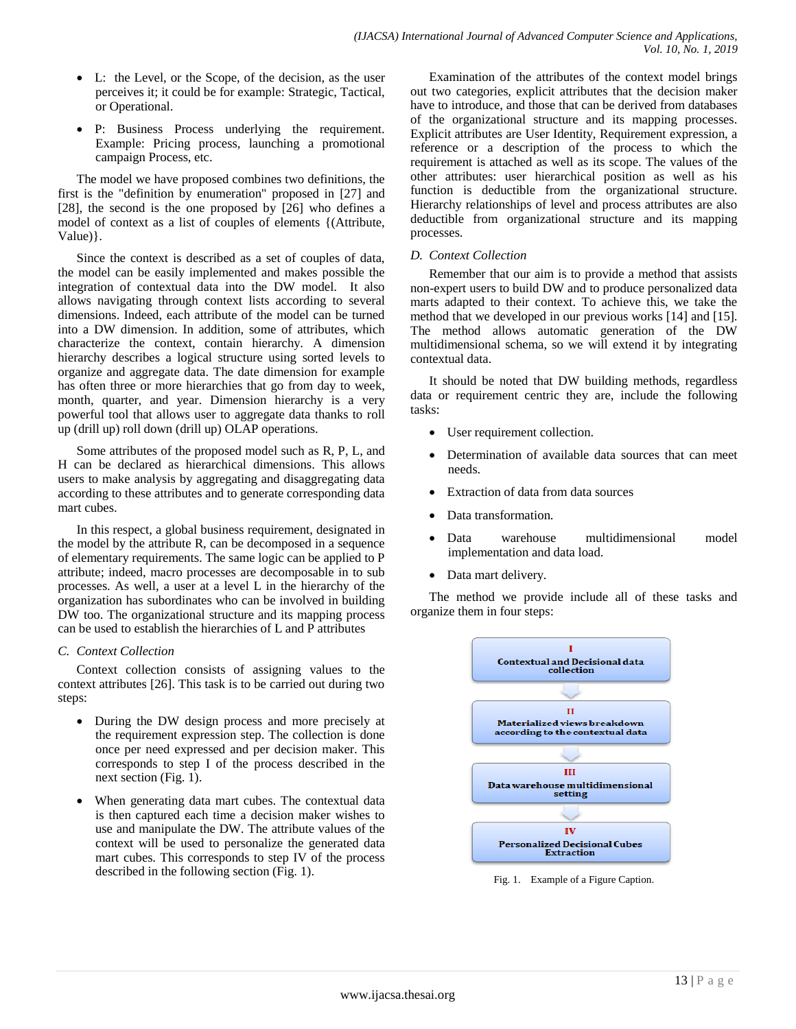- L: the Level, or the Scope, of the decision, as the user perceives it; it could be for example: Strategic, Tactical, or Operational.
- P: Business Process underlying the requirement. Example: Pricing process, launching a promotional campaign Process, etc.

The model we have proposed combines two definitions, the first is the "definition by enumeration" proposed in [27] and [28], the second is the one proposed by [26] who defines a model of context as a list of couples of elements {(Attribute, Value)}.

Since the context is described as a set of couples of data, the model can be easily implemented and makes possible the integration of contextual data into the DW model. It also allows navigating through context lists according to several dimensions. Indeed, each attribute of the model can be turned into a DW dimension. In addition, some of attributes, which characterize the context, contain hierarchy. A dimension hierarchy describes a logical structure using sorted levels to organize and aggregate data. The date dimension for example has often three or more hierarchies that go from day to week, month, quarter, and year. Dimension hierarchy is a very powerful tool that allows user to aggregate data thanks to roll up (drill up) roll down (drill up) OLAP operations.

Some attributes of the proposed model such as R, P, L, and H can be declared as hierarchical dimensions. This allows users to make analysis by aggregating and disaggregating data according to these attributes and to generate corresponding data mart cubes.

In this respect, a global business requirement, designated in the model by the attribute R, can be decomposed in a sequence of elementary requirements. The same logic can be applied to P attribute; indeed, macro processes are decomposable in to sub processes. As well, a user at a level L in the hierarchy of the organization has subordinates who can be involved in building DW too. The organizational structure and its mapping process can be used to establish the hierarchies of L and P attributes

#### *C. Context Collection*

Context collection consists of assigning values to the context attributes [26]. This task is to be carried out during two steps:

- During the DW design process and more precisely at the requirement expression step. The collection is done once per need expressed and per decision maker. This corresponds to step I of the process described in the next section (Fig. 1).
- When generating data mart cubes. The contextual data is then captured each time a decision maker wishes to use and manipulate the DW. The attribute values of the context will be used to personalize the generated data mart cubes. This corresponds to step IV of the process described in the following section (Fig. 1).

Examination of the attributes of the context model brings out two categories, explicit attributes that the decision maker have to introduce, and those that can be derived from databases of the organizational structure and its mapping processes. Explicit attributes are User Identity, Requirement expression, a reference or a description of the process to which the requirement is attached as well as its scope. The values of the other attributes: user hierarchical position as well as his function is deductible from the organizational structure. Hierarchy relationships of level and process attributes are also deductible from organizational structure and its mapping processes.

#### *D. Context Collection*

Remember that our aim is to provide a method that assists non-expert users to build DW and to produce personalized data marts adapted to their context. To achieve this, we take the method that we developed in our previous works [14] and [15]. The method allows automatic generation of the DW multidimensional schema, so we will extend it by integrating contextual data.

It should be noted that DW building methods, regardless data or requirement centric they are, include the following tasks:

- User requirement collection.
- Determination of available data sources that can meet needs.
- Extraction of data from data sources
- Data transformation.
- Data warehouse multidimensional model implementation and data load.
- Data mart delivery.

The method we provide include all of these tasks and organize them in four steps:



Fig. 1. Example of a Figure Caption.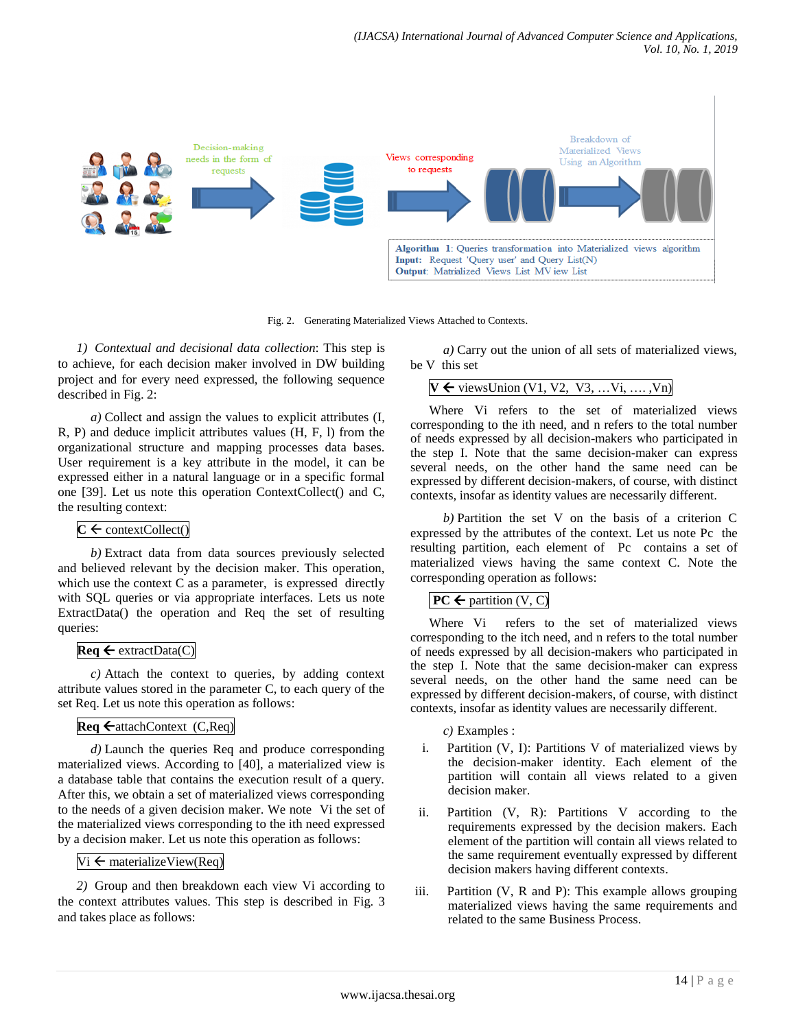

Fig. 2. Generating Materialized Views Attached to Contexts.

*1) Contextual and decisional data collection*: This step is to achieve, for each decision maker involved in DW building project and for every need expressed, the following sequence described in Fig. 2:

*a)* Collect and assign the values to explicit attributes (I, R, P) and deduce implicit attributes values (H, F, l) from the organizational structure and mapping processes data bases. User requirement is a key attribute in the model, it can be expressed either in a natural language or in a specific formal one [39]. Let us note this operation ContextCollect() and C, the resulting context:

# $C \leftarrow$  contextCollect()

*b)* Extract data from data sources previously selected and believed relevant by the decision maker. This operation, which use the context C as a parameter, is expressed directly with SQL queries or via appropriate interfaces. Lets us note ExtractData() the operation and Req the set of resulting queries:

# $\textbf{Req} \leftarrow \text{extractData}(C)$

*c)* Attach the context to queries, by adding context attribute values stored in the parameter C, to each query of the set Req. Let us note this operation as follows:

# $\text{Req} \leftarrow \text{attachContext}$  (C,Req)

*d)* Launch the queries Req and produce corresponding materialized views. According to [40], a materialized view is a database table that contains the execution result of a query. After this, we obtain a set of materialized views corresponding to the needs of a given decision maker. We note Vi the set of the materialized views corresponding to the ith need expressed by a decision maker. Let us note this operation as follows:

# $Vi \leftarrow$  materialize View(Req)

*2)* Group and then breakdown each view Vi according to the context attributes values. This step is described in Fig. 3 and takes place as follows:

*a)* Carry out the union of all sets of materialized views, be V this set

|  |  | $V \leftarrow$ viewsUnion (V1, V2, V3, Vi, , Vn) |  |  |  |  |  |
|--|--|--------------------------------------------------|--|--|--|--|--|
|--|--|--------------------------------------------------|--|--|--|--|--|

Where Vi refers to the set of materialized views corresponding to the ith need, and n refers to the total number of needs expressed by all decision-makers who participated in the step I. Note that the same decision-maker can express several needs, on the other hand the same need can be expressed by different decision-makers, of course, with distinct contexts, insofar as identity values are necessarily different.

*b)* Partition the set V on the basis of a criterion C expressed by the attributes of the context. Let us note Pc the resulting partition, each element of Pc contains a set of materialized views having the same context C. Note the corresponding operation as follows:

# $PC \leftarrow$  partition (V, C)

Where Vi refers to the set of materialized views corresponding to the itch need, and n refers to the total number of needs expressed by all decision-makers who participated in the step I. Note that the same decision-maker can express several needs, on the other hand the same need can be expressed by different decision-makers, of course, with distinct contexts, insofar as identity values are necessarily different.

*c)* Examples :

- i. Partition (V, I): Partitions V of materialized views by the decision-maker identity. Each element of the partition will contain all views related to a given decision maker.
- ii. Partition (V, R): Partitions V according to the requirements expressed by the decision makers. Each element of the partition will contain all views related to the same requirement eventually expressed by different decision makers having different contexts.
- iii. Partition (V, R and P): This example allows grouping materialized views having the same requirements and related to the same Business Process.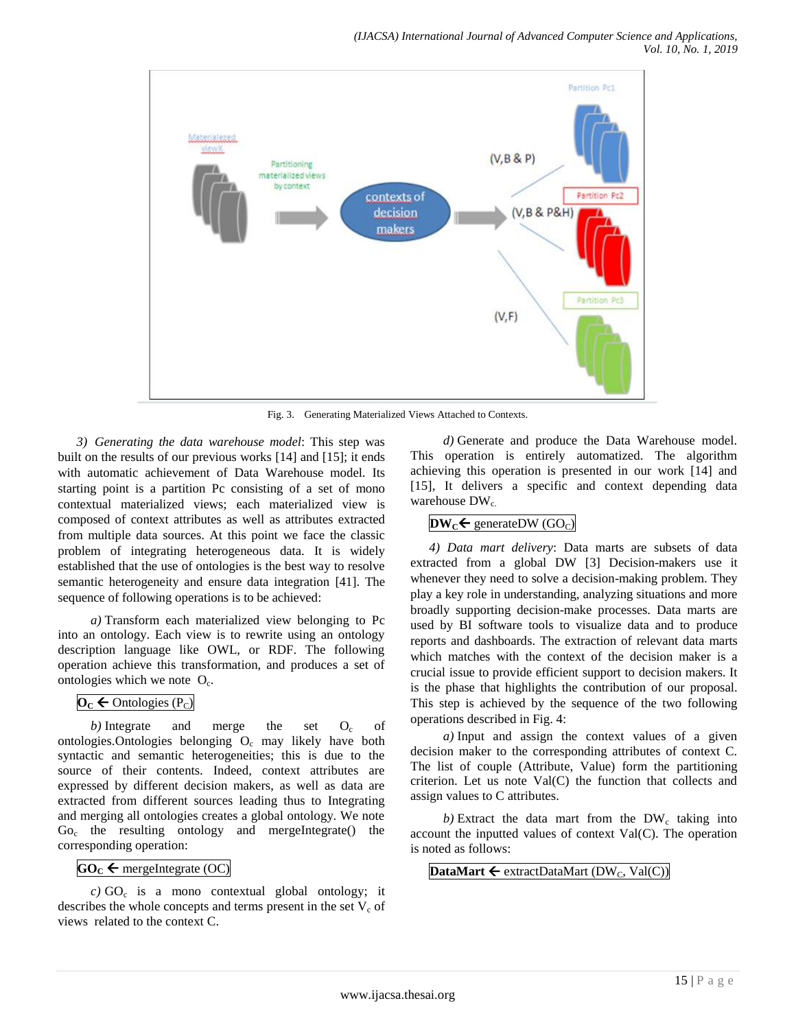

Fig. 3. Generating Materialized Views Attached to Contexts.

*3) Generating the data warehouse model*: This step was built on the results of our previous works [14] and [15]; it ends with automatic achievement of Data Warehouse model. Its starting point is a partition Pc consisting of a set of mono contextual materialized views; each materialized view is composed of context attributes as well as attributes extracted from multiple data sources. At this point we face the classic problem of integrating heterogeneous data. It is widely established that the use of ontologies is the best way to resolve semantic heterogeneity and ensure data integration [41]. The sequence of following operations is to be achieved:

*a)* Transform each materialized view belonging to Pc into an ontology. Each view is to rewrite using an ontology description language like OWL, or RDF. The following operation achieve this transformation, and produces a set of ontologies which we note  $O_c$ .

# $\mathbf{O}_C \leftarrow \text{Ontologies (P_C)}$

*b*) Integrate and merge the set  $O<sub>c</sub>$  of ontologies. Ontologies belonging  $O_c$  may likely have both syntactic and semantic heterogeneities; this is due to the source of their contents. Indeed, context attributes are expressed by different decision makers, as well as data are extracted from different sources leading thus to Integrating and merging all ontologies creates a global ontology. We note Go<sub>c</sub> the resulting ontology and mergeIntegrate() the corresponding operation:

# $GO_C \leftarrow$  mergeIntegrate (OC)

 $c)$  GO<sub>c</sub> is a mono contextual global ontology; it describes the whole concepts and terms present in the set  $V_c$  of views related to the context C.

*d)* Generate and produce the Data Warehouse model. This operation is entirely automatized. The algorithm achieving this operation is presented in our work [14] and [15], It delivers a specific and context depending data warehouse  $DW_c$ .

# $\mathbf{DW}_c \leftarrow \text{generateDW}$  (GO<sub>C</sub>)

*4) Data mart delivery*: Data marts are subsets of data extracted from a global DW [3] Decision-makers use it whenever they need to solve a decision-making problem. They play a key role in understanding, analyzing situations and more broadly supporting decision-make processes. Data marts are used by BI software tools to visualize data and to produce reports and dashboards. The extraction of relevant data marts which matches with the context of the decision maker is a crucial issue to provide efficient support to decision makers. It is the phase that highlights the contribution of our proposal. This step is achieved by the sequence of the two following operations described in Fig. 4:

*a)* Input and assign the context values of a given decision maker to the corresponding attributes of context C. The list of couple (Attribute, Value) form the partitioning criterion. Let us note Val(C) the function that collects and assign values to C attributes.

 $b)$  Extract the data mart from the  $DW_c$  taking into account the inputted values of context Val(C). The operation is noted as follows:

**DataMart**  $\leftarrow$  extractDataMart (DW<sub>C</sub>, Val(C))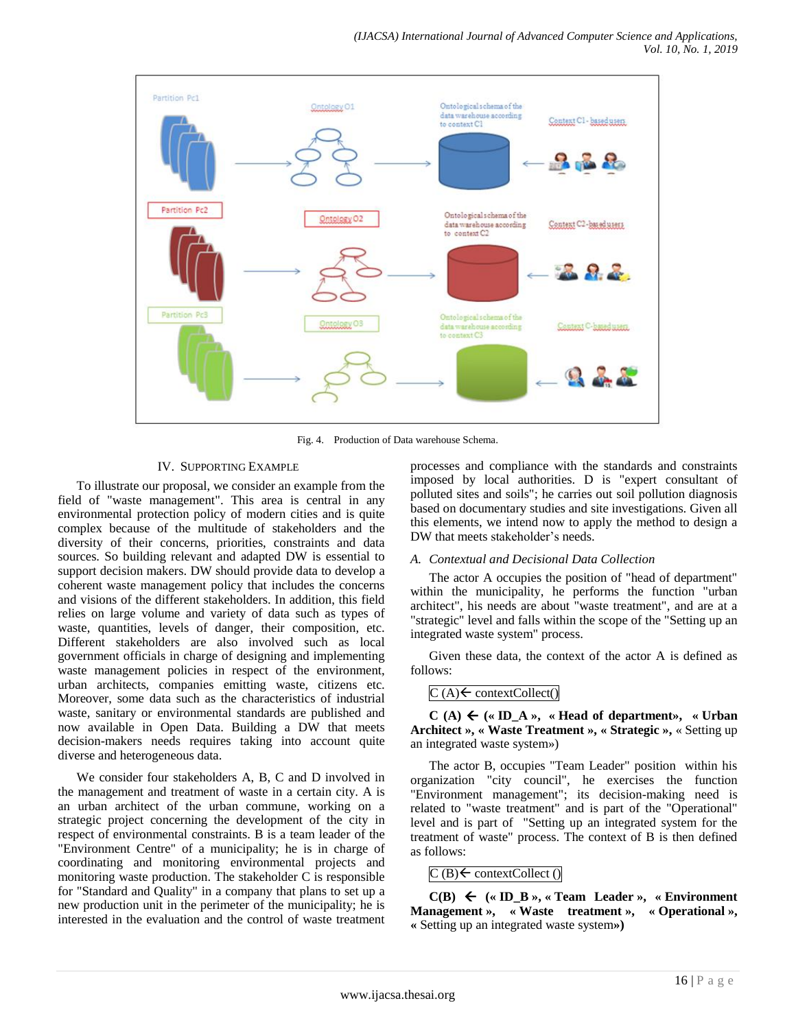

Fig. 4. Production of Data warehouse Schema.

#### IV. SUPPORTING EXAMPLE

To illustrate our proposal, we consider an example from the field of "waste management". This area is central in any environmental protection policy of modern cities and is quite complex because of the multitude of stakeholders and the diversity of their concerns, priorities, constraints and data sources. So building relevant and adapted DW is essential to support decision makers. DW should provide data to develop a coherent waste management policy that includes the concerns and visions of the different stakeholders. In addition, this field relies on large volume and variety of data such as types of waste, quantities, levels of danger, their composition, etc. Different stakeholders are also involved such as local government officials in charge of designing and implementing waste management policies in respect of the environment, urban architects, companies emitting waste, citizens etc. Moreover, some data such as the characteristics of industrial waste, sanitary or environmental standards are published and now available in Open Data. Building a DW that meets decision-makers needs requires taking into account quite diverse and heterogeneous data.

We consider four stakeholders A, B, C and D involved in the management and treatment of waste in a certain city. A is an urban architect of the urban commune, working on a strategic project concerning the development of the city in respect of environmental constraints. B is a team leader of the "Environment Centre" of a municipality; he is in charge of coordinating and monitoring environmental projects and monitoring waste production. The stakeholder C is responsible for "Standard and Quality" in a company that plans to set up a new production unit in the perimeter of the municipality; he is interested in the evaluation and the control of waste treatment processes and compliance with the standards and constraints imposed by local authorities. D is "expert consultant of polluted sites and soils"; he carries out soil pollution diagnosis based on documentary studies and site investigations. Given all this elements, we intend now to apply the method to design a DW that meets stakeholder's needs.

#### *A. Contextual and Decisional Data Collection*

The actor A occupies the position of "head of department" within the municipality, he performs the function "urban architect", his needs are about "waste treatment", and are at a "strategic" level and falls within the scope of the "Setting up an integrated waste system" process.

Given these data, the context of the actor A is defined as follows:

#### $C(A) \leftarrow$  contextCollect()

 $C(A) \leftarrow (\ast \text{ ID } A \times \ast \text{ Head of department} \times \ast \text{ Urban})$ **Architect », « Waste Treatment », « Strategic »,** « Setting up an integrated waste system»)

The actor B, occupies "Team Leader" position within his organization "city council", he exercises the function "Environment management"; its decision-making need is related to "waste treatment" and is part of the "Operational" level and is part of "Setting up an integrated system for the treatment of waste" process. The context of B is then defined as follows:

 $C(B) \leftarrow$  contextCollect ()

 $C(B) \leftarrow (\text{w ID}_B, \text{w} \times \text{Team}$  Leader  $\text{w}$ ,  $\text{w} \times \text{Environment}$ **Management », « Waste treatment », « Operational », «** Setting up an integrated waste system**»)**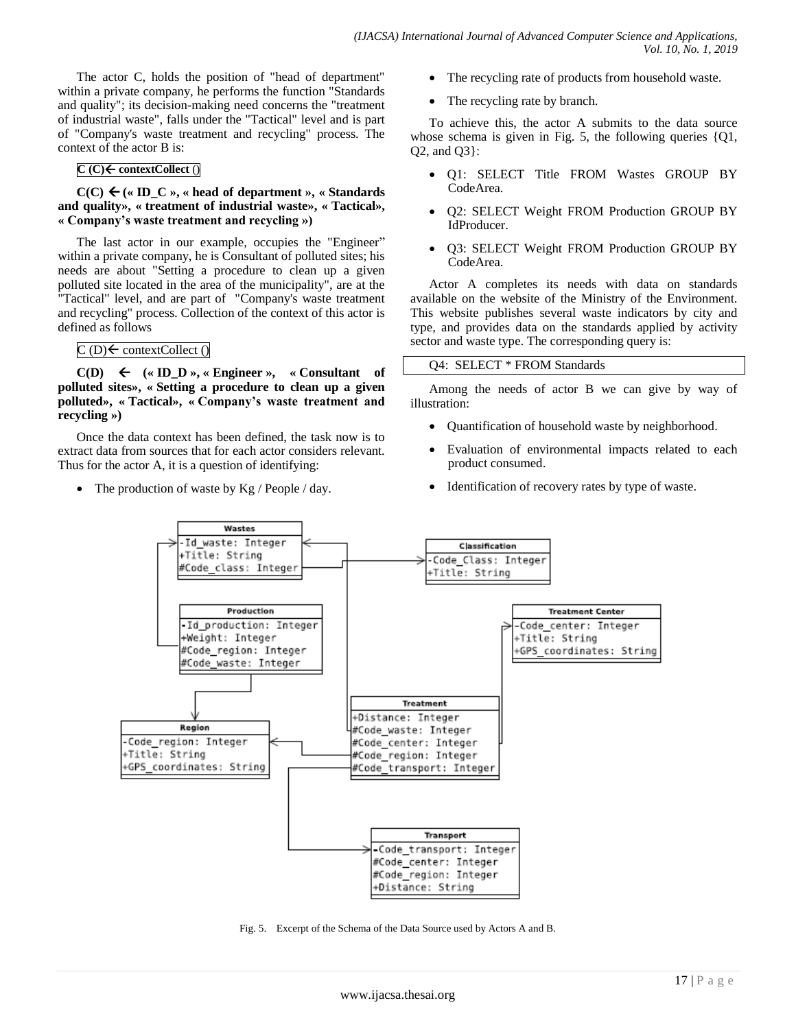The actor C, holds the position of "head of department" within a private company, he performs the function "Standards and quality"; its decision-making need concerns the "treatment of industrial waste", falls under the "Tactical" level and is part of "Company's waste treatment and recycling" process. The context of the actor B is:

#### **C (C) contextCollect** ()

 $C(C) \leftarrow (\text{ } (8 \text{ ID } C \text{)} \times \text{ } (\text{ } (9 \text{ real}) \text{ } \text{ } (1 \text{ real}) \text{ } \text{ } (1 \text{ real}) \text{ } \text{ } (1 \text{ real}) \text{ } \text{ } (1 \text{ real}) \text{ } \text{ } (1 \text{ real}) \text{ } \text{ } (1 \text{ real}) \text{ } \text{ } (1 \text{ real}) \text{ } \text{ } (1 \text{ real}) \text{ } \text{ } (1 \text{ real}) \text{ } \text{ } (1 \text{ real}) \text{ } \text{ } (1 \text{ real}) \text{ } (1 \text{ real}) \text{ } ($ **and quality», « treatment of industrial waste», « Tactical», « Company's waste treatment and recycling »)**

The last actor in our example, occupies the "Engineer" within a private company, he is Consultant of polluted sites; his needs are about "Setting a procedure to clean up a given polluted site located in the area of the municipality", are at the "Tactical" level, and are part of "Company's waste treatment and recycling" process. Collection of the context of this actor is defined as follows

# $C(D) \leftarrow$  contextCollect ()

 $C(D) \leftarrow (\text{« ID } D \text{ »}, \text{« Engineering } \text{»}, \text{ «} \text{ Consultant} \text{ of})$ **polluted sites», « Setting a procedure to clean up a given polluted», « Tactical», « Company's waste treatment and recycling »)**

Once the data context has been defined, the task now is to extract data from sources that for each actor considers relevant. Thus for the actor A, it is a question of identifying:

• The production of waste by Kg / People / day.

- The recycling rate of products from household waste.
- The recycling rate by branch.

To achieve this, the actor A submits to the data source whose schema is given in Fig. 5, the following queries {Q1, Q2, and Q3}:

- Q1: SELECT Title FROM Wastes GROUP BY CodeArea.
- Q2: SELECT Weight FROM Production GROUP BY IdProducer.
- Q3: SELECT Weight FROM Production GROUP BY CodeArea.

Actor A completes its needs with data on standards available on the website of the Ministry of the Environment. This website publishes several waste indicators by city and type, and provides data on the standards applied by activity sector and waste type. The corresponding query is:

# Q4: SELECT \* FROM Standards

Among the needs of actor B we can give by way of illustration:

- Quantification of household waste by neighborhood.
- Evaluation of environmental impacts related to each product consumed.
- Identification of recovery rates by type of waste.



Fig. 5. Excerpt of the Schema of the Data Source used by Actors A and B.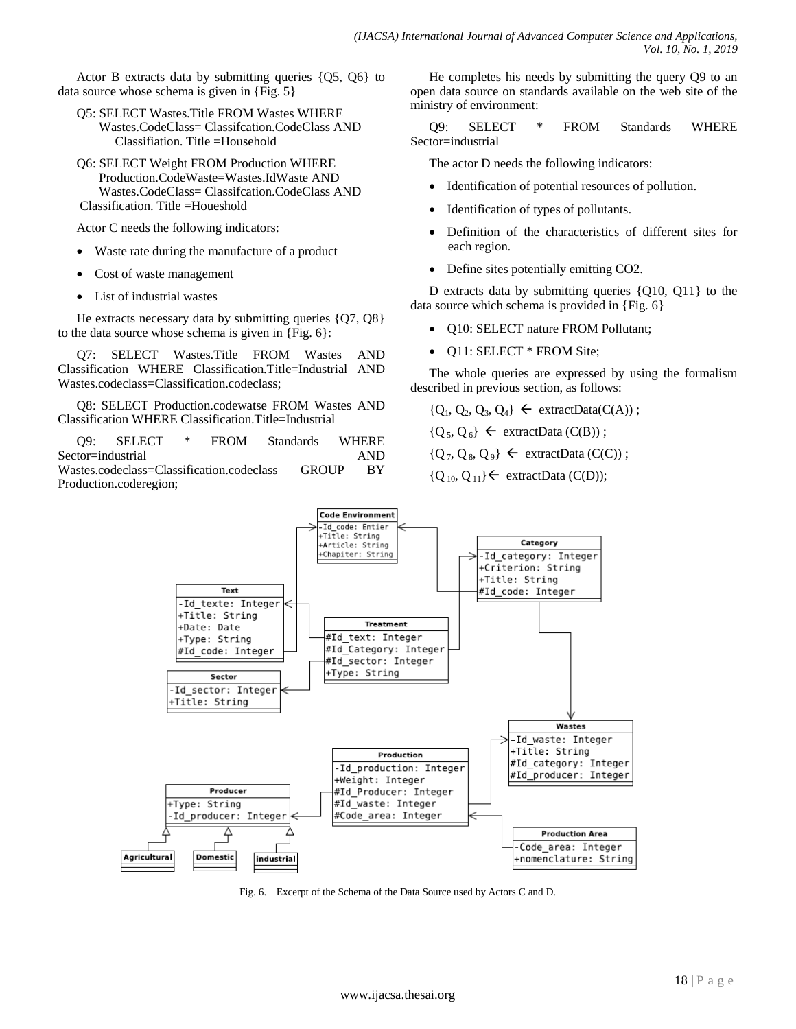Actor B extracts data by submitting queries {Q5, Q6} to data source whose schema is given in {Fig. 5}

- Q5: SELECT Wastes.Title FROM Wastes WHERE Wastes.CodeClass= Classifcation.CodeClass AND Classifiation. Title =Household
- Q6: SELECT Weight FROM Production WHERE Production.CodeWaste=Wastes.IdWaste AND Wastes.CodeClass= Classifcation.CodeClass AND Classification. Title =Houeshold

Actor C needs the following indicators:

- Waste rate during the manufacture of a product
- Cost of waste management
- List of industrial wastes

He extracts necessary data by submitting queries {Q7, Q8} to the data source whose schema is given in {Fig. 6}:

Q7: SELECT Wastes.Title FROM Wastes AND Classification WHERE Classification.Title=Industrial AND Wastes.codeclass=Classification.codeclass;

Q8: SELECT Production.codewatse FROM Wastes AND Classification WHERE Classification.Title=Industrial

Q9: SELECT \* FROM Standards WHERE Sector=industrial AND Wastes.codeclass=Classification.codeclass GROUP BY Production.coderegion;

He completes his needs by submitting the query Q9 to an open data source on standards available on the web site of the ministry of environment:

Q9: SELECT \* FROM Standards WHERE Sector=industrial

The actor D needs the following indicators:

- Identification of potential resources of pollution.
- Identification of types of pollutants.
- Definition of the characteristics of different sites for each region.
- Define sites potentially emitting CO2.

D extracts data by submitting queries {Q10, Q11} to the data source which schema is provided in {Fig. 6}

- Q10: SELECT nature FROM Pollutant;
- Q11: SELECT \* FROM Site;

The whole queries are expressed by using the formalism described in previous section, as follows:

 ${Q_1, Q_2, Q_3, Q_4} \leftarrow$  extractData(C(A));  ${Q_5, Q_6} \leftarrow$  extractData (C(B));  ${Q_7, Q_8, Q_9} \leftarrow$  extractData (C(C));

 ${Q_{10}, Q_{11}} \leftarrow$  extractData (C(D));



Fig. 6. Excerpt of the Schema of the Data Source used by Actors C and D.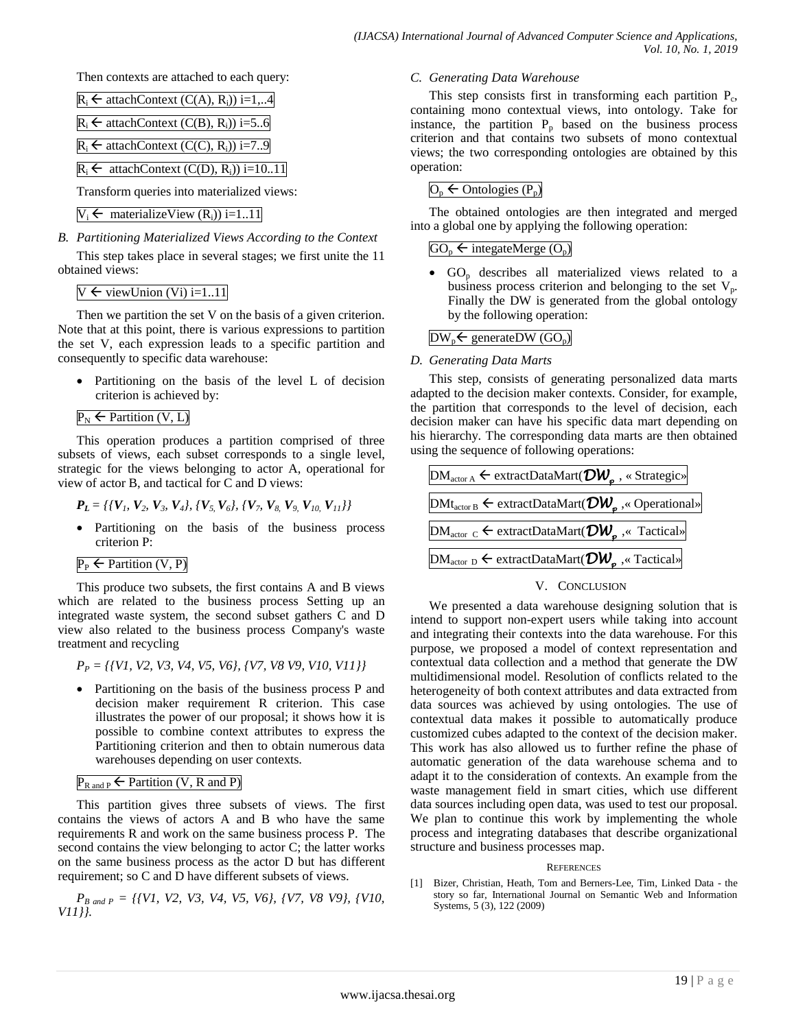Then contexts are attached to each query:

| $R_i \leftarrow$ attachContext (C(A), $R_i$ )) i=1,4           |
|----------------------------------------------------------------|
| $R_i \leftarrow$ attachContext (C(B), $R_i$ )) i=56            |
| $R_i \leftarrow$ attachContext (C(C), $R_i$ )) i=79            |
| $R_i \leftarrow$ attachContext (C(D), R <sub>i</sub> )) i=1011 |
| Transform queries into materialized views:                     |

$$
V_i \leftarrow
$$
 materializeView  $(R_i)$ ) i=1..11

*B. Partitioning Materialized Views According to the Context*

This step takes place in several stages; we first unite the 11 obtained views:

 $V \leftarrow$  viewUnion (Vi) i=1..11

Then we partition the set V on the basis of a given criterion. Note that at this point, there is various expressions to partition the set V, each expression leads to a specific partition and consequently to specific data warehouse:

 Partitioning on the basis of the level L of decision criterion is achieved by:

## $P_N \leftarrow$  Partition (V, L)

This operation produces a partition comprised of three subsets of views, each subset corresponds to a single level, strategic for the views belonging to actor A, operational for view of actor B, and tactical for C and D views:

$$
P_L = \{ \{V_1, V_2, V_3, V_4\}, \{V_5, V_6\}, \{V_7, V_8, V_9, V_{10}, V_{11}\} \}
$$

- Partitioning on the basis of the business process criterion P:
- $P_P \leftarrow$  Partition (V, P)

This produce two subsets, the first contains A and B views which are related to the business process Setting up an integrated waste system, the second subset gathers C and D view also related to the business process Company's waste treatment and recycling

*P<sup>P</sup> = {{V1, V2, V3, V4, V5, V6}, {V7, V8 V9, V10, V11}}*

• Partitioning on the basis of the business process P and decision maker requirement R criterion. This case illustrates the power of our proposal; it shows how it is possible to combine context attributes to express the Partitioning criterion and then to obtain numerous data warehouses depending on user contexts.

# $P_{\text{R and P}} \leftarrow$  Partition (V, R and P)

This partition gives three subsets of views. The first contains the views of actors A and B who have the same requirements R and work on the same business process P. The second contains the view belonging to actor C; the latter works on the same business process as the actor D but has different requirement; so C and D have different subsets of views.

*PB and P = {{V1, V2, V3, V4, V5, V6}, {V7, V8 V9}, {V10, V11}}.*

#### *C. Generating Data Warehouse*

This step consists first in transforming each partition  $P_c$ , containing mono contextual views, into ontology. Take for instance, the partition  $P_p$  based on the business process criterion and that contains two subsets of mono contextual views; the two corresponding ontologies are obtained by this operation:

 $O_p \leftarrow$  Ontologies  $(P_p)$ 

The obtained ontologies are then integrated and merged into a global one by applying the following operation:

## $GO_p \leftarrow$  integateMerge  $(O_p)$

GO<sub>p</sub> describes all materialized views related to a business process criterion and belonging to the set  $V_p$ . Finally the DW is generated from the global ontology by the following operation:

# $DW_p \leftarrow$  generateDW (GO<sub>p</sub>)

#### *D. Generating Data Marts*

This step, consists of generating personalized data marts adapted to the decision maker contexts. Consider, for example, the partition that corresponds to the level of decision, each decision maker can have his specific data mart depending on his hierarchy. The corresponding data marts are then obtained using the sequence of following operations:



#### V. CONCLUSION

We presented a data warehouse designing solution that is intend to support non-expert users while taking into account and integrating their contexts into the data warehouse. For this purpose, we proposed a model of context representation and contextual data collection and a method that generate the DW multidimensional model. Resolution of conflicts related to the heterogeneity of both context attributes and data extracted from data sources was achieved by using ontologies. The use of contextual data makes it possible to automatically produce customized cubes adapted to the context of the decision maker. This work has also allowed us to further refine the phase of automatic generation of the data warehouse schema and to adapt it to the consideration of contexts. An example from the waste management field in smart cities, which use different data sources including open data, was used to test our proposal. We plan to continue this work by implementing the whole process and integrating databases that describe organizational structure and business processes map.

#### **REFERENCES**

[1] Bizer, Christian, Heath, Tom and Berners-Lee, Tim, Linked Data - the story so far, International Journal on Semantic Web and Information Systems, 5 (3), 122 (2009)